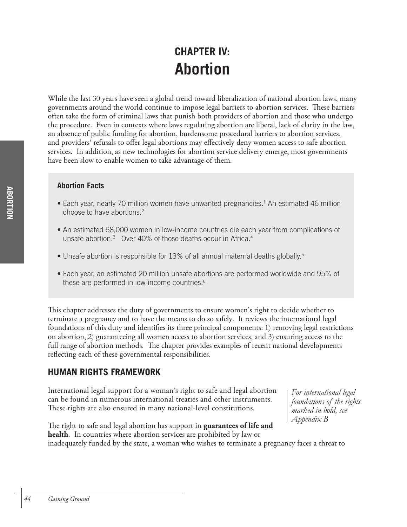# **CHAPTER IV: Abortion**

While the last 30 years have seen a global trend toward liberalization of national abortion laws, many governments around the world continue to impose legal barriers to abortion services. These barriers often take the form of criminal laws that punish both providers of abortion and those who undergo the procedure. Even in contexts where laws regulating abortion are liberal, lack of clarity in the law, an absence of public funding for abortion, burdensome procedural barriers to abortion services, and providers' refusals to offer legal abortions may effectively deny women access to safe abortion services. In addition, as new technologies for abortion service delivery emerge, most governments have been slow to enable women to take advantage of them.

## **Abortion Facts**

- Each year, nearly 70 million women have unwanted pregnancies.<sup>1</sup> An estimated 46 million choose to have abortions. 2
- An estimated 68,000 women in low-income countries die each year from complications of unsafe abortion.<sup>3</sup> Over 40% of those deaths occur in Africa.<sup>4</sup>
- Unsafe abortion is responsible for 13% of all annual maternal deaths globally.<sup>5</sup>
- Each year, an estimated 20 million unsafe abortions are performed worldwide and 95% of these are performed in low-income countries. 6

This chapter addresses the duty of governments to ensure women's right to decide whether to terminate a pregnancy and to have the means to do so safely. It reviews the international legal foundations of this duty and identifies its three principal components: 1) removing legal restrictions on abortion, 2) guaranteeing all women access to abortion services, and 3) ensuring access to the full range of abortion methods. The chapter provides examples of recent national developments reflecting each of these governmental responsibilities.

# **HUMAN RIGHTS FRAMEWORK**

International legal support for a woman's right to safe and legal abortion can be found in numerous international treaties and other instruments. These rights are also ensured in many national-level constitutions.

*For international legal foundations of the rights marked in bold, see Appendix B*

The right to safe and legal abortion has support in **guarantees of life and health**. In countries where abortion services are prohibited by law or inadequately funded by the state, a woman who wishes to terminate a pregnancy faces a threat to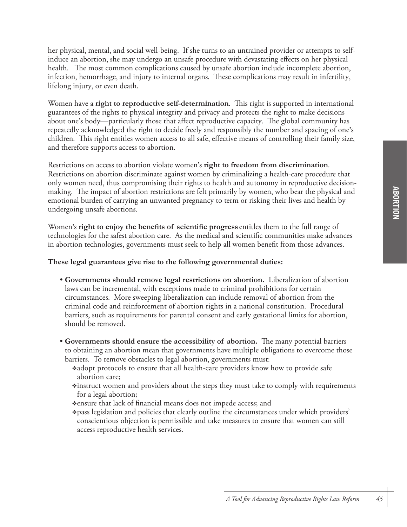her physical, mental, and social well-being. If she turns to an untrained provider or attempts to selfinduce an abortion, she may undergo an unsafe procedure with devastating effects on her physical health. The most common complications caused by unsafe abortion include incomplete abortion, infection, hemorrhage, and injury to internal organs. These complications may result in infertility, lifelong injury, or even death.

Women have a **right to reproductive self-determination**. This right is supported in international guarantees of the rights to physical integrity and privacy and protects the right to make decisions about one's body—particularly those that affect reproductive capacity. The global community has repeatedly acknowledged the right to decide freely and responsibly the number and spacing of one's children. This right entitles women access to all safe, effective means of controlling their family size, and therefore supports access to abortion.

Restrictions on access to abortion violate women's **right to freedom from discrimination**. Restrictions on abortion discriminate against women by criminalizing a health-care procedure that only women need, thus compromising their rights to health and autonomy in reproductive decisionmaking. The impact of abortion restrictions are felt primarily by women, who bear the physical and emotional burden of carrying an unwanted pregnancy to term or risking their lives and health by undergoing unsafe abortions.

Women's **right to enjoy the benefits of scientific progress** entitles them to the full range of technologies for the safest abortion care. As the medical and scientific communities make advances in abortion technologies, governments must seek to help all women benefit from those advances.

**These legal guarantees give rise to the following governmental duties:**

- **Governments should remove legal restrictions on abortion.** Liberalization of abortion laws can be incremental, with exceptions made to criminal prohibitions for certain circumstances. More sweeping liberalization can include removal of abortion from the criminal code and reinforcement of abortion rights in a national constitution. Procedural barriers, such as requirements for parental consent and early gestational limits for abortion, should be removed.
- **Governments should ensure the accessibility of abortion.** The many potential barriers to obtaining an abortion mean that governments have multiple obligations to overcome those barriers. To remove obstacles to legal abortion, governments must:
	- vadopt protocols to ensure that all health-care providers know how to provide safe abortion care;
	- $\triangle$ instruct women and providers about the steps they must take to comply with requirements for a legal abortion;
	- vensure that lack of financial means does not impede access; and
	- v pass legislation and policies that clearly outline the circumstances under which providers' conscientious objection is permissible and take measures to ensure that women can still access reproductive health services.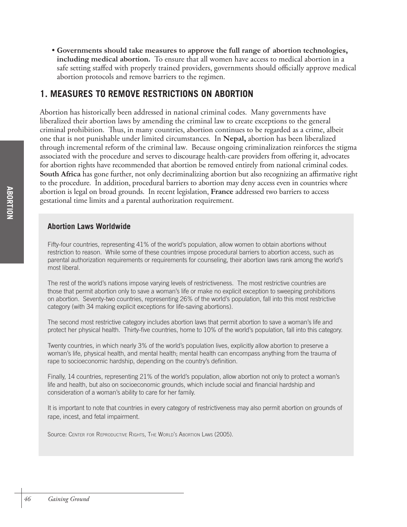• **Governments should take measures to approve the full range of abortion technologies, including medical abortion.** To ensure that all women have access to medical abortion in a safe setting staffed with properly trained providers, governments should officially approve medical abortion protocols and remove barriers to the regimen.

# **1. MEASURES TO REMOVE RESTRICTIONS ON ABORTION**

Abortion has historically been addressed in national criminal codes. Many governments have liberalized their abortion laws by amending the criminal law to create exceptions to the general criminal prohibition. Thus, in many countries, abortion continues to be regarded as a crime, albeit one that is not punishable under limited circumstances. In **Nepal,** abortion has been liberalized through incremental reform of the criminal law. Because ongoing criminalization reinforces the stigma associated with the procedure and serves to discourage health-care providers from offering it, advocates for abortion rights have recommended that abortion be removed entirely from national criminal codes. **South Africa** has gone further, not only decriminalizing abortion but also recognizing an affirmative right to the procedure. In addition, procedural barriers to abortion may deny access even in countries where abortion is legal on broad grounds. In recent legislation, **France** addressed two barriers to access gestational time limits and a parental authorization requirement.

## **Abortion Laws Worldwide**

Fifty-four countries, representing 41% of the world's population, allow women to obtain abortions without restriction to reason. While some of these countries impose procedural barriers to abortion access, such as parental authorization requirements or requirements for counseling, their abortion laws rank among the world's most liberal.

The rest of the world's nations impose varying levels of restrictiveness. The most restrictive countries are those that permit abortion only to save a woman's life or make no explicit exception to sweeping prohibitions on abortion. Seventy-two countries, representing 26% of the world's population, fall into this most restrictive category (with 34 making explicit exceptions for life-saving abortions).

The second most restrictive category includes abortion laws that permit abortion to save a woman's life and protect her physical health. Thirty-five countries, home to 10% of the world's population, fall into this category.

Twenty countries, in which nearly 3% of the world's population lives, explicitly allow abortion to preserve a woman's life, physical health, and mental health; mental health can encompass anything from the trauma of rape to socioeconomic hardship, depending on the country's definition.

Finally, 14 countries, representing 21% of the world's population, allow abortion not only to protect a woman's life and health, but also on socioeconomic grounds, which include social and financial hardship and consideration of a woman's ability to care for her family.

It is important to note that countries in every category of restrictiveness may also permit abortion on grounds of rape, incest, and fetal impairment.

Source: CENTER FOR REPRODUCTIVE RIGHTS, THE WORLD'S ABORTION LAWS (2005).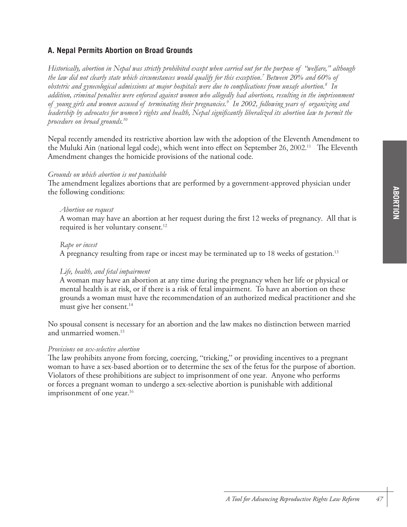## **A. Nepal Permits Abortion on Broad Grounds**

*Historically, abortion in Nepal was strictly prohibited except when carried out for the purpose of "welfare," although the law did not clearly state which circumstances would qualify for this exception. 7 Between 20% and 60% of obstetric and gynecological admissions at major hospitals were due to complications from unsafe abortion.8 In addition, criminal penalties were enforced against women who allegedly had abortions, resulting in the imprisonment of young girls and women accused of terminating their pregnancies.9 In 2002, following years of organizing and leadership by advocates for women's rights and health, Nepal significantly liberalized its abortion law to permit the procedure on broad grounds.10*

Nepal recently amended its restrictive abortion law with the adoption of the Eleventh Amendment to the Muluki Ain (national legal code), which went into effect on September 26, 2002.11The Eleventh Amendment changes the homicide provisions of the national code.

## *Grounds on which abortion is not punishable*

The amendment legalizes abortions that are performed by a government-approved physician under the following conditions:

#### *Abortion on request*

A woman may have an abortion at her request during the first 12 weeks of pregnancy. All that is required is her voluntary consent. 12

#### *Rape or incest*

A pregnancy resulting from rape or incest may be terminated up to 18 weeks of gestation. 13

## *Life, health, and fetal impairment*

A woman may have an abortion at any time during the pregnancy when her life or physical or mental health is at risk, or if there is a risk of fetal impairment. To have an abortion on these grounds a woman must have the recommendation of an authorized medical practitioner and she must give her consent. 14

No spousal consent is necessary for an abortion and the law makes no distinction between married and unmarried women. 15

#### *Provisions on sex-selective abortion*

The law prohibits anyone from forcing, coercing, "tricking," or providing incentives to a pregnant woman to have a sex-based abortion or to determine the sex of the fetus for the purpose of abortion. Violators of these prohibitions are subject to imprisonment of one year. Anyone who performs or forces a pregnant woman to undergo a sex-selective abortion is punishable with additional imprisonment of one year. 16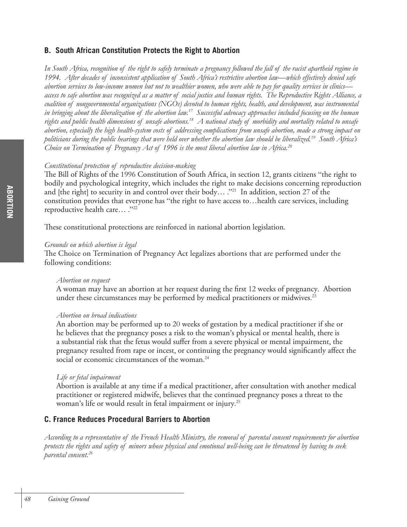## **B. South African Constitution Protects the Right to Abortion**

*In South Africa, recognition of the right to safely terminate a pregnancy followed the fall of the racist apartheid regime in 1994. After decades of inconsistent application of South Africa's restrictive abortion law—which effectively denied safe abortion services to low-income women but not to wealthier women, who were able to pay for quality services in clinics access to safe abortion was recognized as a matter of social justice and human rights. The Reproductive Rights Alliance, a coalition of nongovernmental organizations (NGOs) devoted to human rights, health, and development, was instrumental in bringing about the liberalization of the abortion law.17 Successful advocacy approaches included focusing on the human rights and public health dimensions of unsafe abortions.18 A national study of morbidity and mortality related to unsafe abortion, especially the high health-system costs of addressing complications from unsafe abortion, made a strong impact on politicians during the public hearings that were held over whether the abortion law should be liberalized.19 South Africa's Choice on Termination of Pregnancy Act of 1996 is the most liberal abortion law in Africa.20*

## *Constitutional protection of reproductive decision-making*

The Bill of Rights of the 1996 Constitution of South Africa, in section 12, grants citizens "the right to bodily and psychological integrity, which includes the right to make decisions concerning reproduction and [the right] to security in and control over their body...  $\cdot$ "<sup>21</sup> In addition, section 27 of the constitution provides that everyone has "the right to have access to…health care services, including reproductive health care… ."22

These constitutional protections are reinforced in national abortion legislation.

## *Grounds on which abortion is legal*

The Choice on Termination of Pregnancy Act legalizes abortions that are performed under the following conditions:

## *Abortion on request*

A woman may have an abortion at her request during the first 12 weeks of pregnancy. Abortion under these circumstances may be performed by medical practitioners or midwives.<sup>23</sup>

## *Abortion on broad indications*

An abortion may be performed up to 20 weeks of gestation by a medical practitioner if she or he believes that the pregnancy poses a risk to the woman's physical or mental health, there is a substantial risk that the fetus would suffer from a severe physical or mental impairment, the pregnancy resulted from rape or incest, or continuing the pregnancy would significantly affect the social or economic circumstances of the woman. 24

## *Life or fetal impairment*

Abortion is available at any time if a medical practitioner, after consultation with another medical practitioner or registered midwife, believes that the continued pregnancy poses a threat to the woman's life or would result in fetal impairment or injury. 25

## **C. France Reduces Procedural Barriers to Abortion**

*According to a representative of the French Health Ministry, the removal of parental consent requirements for abortion protects the rights and safety of minors whose physical and emotional well-being can be threatened by having to seek parental consent.26*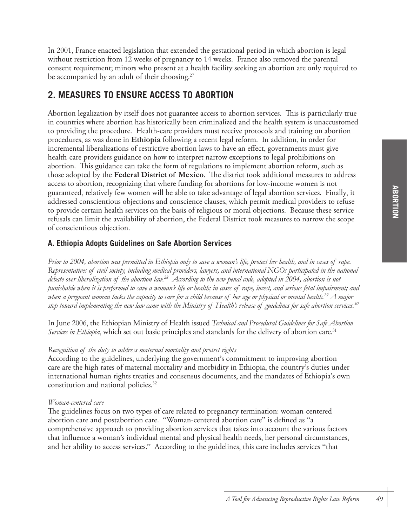In 2001, France enacted legislation that extended the gestational period in which abortion is legal without restriction from 12 weeks of pregnancy to 14 weeks. France also removed the parental consent requirement; minors who present at a health facility seeking an abortion are only required to be accompanied by an adult of their choosing. 27

# **2. MEASURES TO ENSURE ACCESS TO ABORTION**

Abortion legalization by itself does not guarantee access to abortion services. This is particularly true in countries where abortion has historically been criminalized and the health system is unaccustomed to providing the procedure. Health-care providers must receive protocols and training on abortion procedures, as was done in **Ethiopia** following a recent legal reform. In addition, in order for incremental liberalizations of restrictive abortion laws to have an effect, governments must give health-care providers guidance on how to interpret narrow exceptions to legal prohibitions on abortion. This guidance can take the form of regulations to implement abortion reform, such as those adopted by the **Federal District of Mexico**. The district took additional measures to address access to abortion, recognizing that where funding for abortions for low-income women is not guaranteed, relatively few women will be able to take advantage of legal abortion services. Finally, it addressed conscientious objections and conscience clauses, which permit medical providers to refuse to provide certain health services on the basis of religious or moral objections. Because these service refusals can limit the availability of abortion, the Federal District took measures to narrow the scope of conscientious objection.

## **A. Ethiopia Adopts Guidelines on Safe Abortion Services**

*Prior to 2004, abortion was permitted in Ethiopia only to save a woman's life, protect her health, and in cases of rape. Representatives of civil society, including medical providers, lawyers, and international NGOs participated in the national debate over liberalization of the abortion law.28 According to the new penal code, adopted in 2004, abortion is not punishable when it is performed to save a woman's life or health; in cases of rape, incest, and serious fetal impairment; and when a pregnant woman lacks the capacity to care for a child because of her age or physical or mental health.29 A major step toward implementing the new law came with the Ministry of Health's release of guidelines for safe abortion services.30* 

In June 2006, the Ethiopian Ministry of Health issued *Technical and Procedural Guidelines for Safe Abortion Services in Ethiopia*, which set out basic principles and standards for the delivery of abortion care. 31

## *Recognition of the duty to address maternal mortality and protect rights*

According to the guidelines, underlying the government's commitment to improving abortion care are the high rates of maternal mortality and morbidity in Ethiopia, the country's duties under international human rights treaties and consensus documents, and the mandates of Ethiopia's own constitution and national policies. 32

## *Woman-centered care*

The guidelines focus on two types of care related to pregnancy termination: woman-centered abortion care and postabortion care. "Woman-centered abortion care" is defined as "a comprehensive approach to providing abortion services that takes into account the various factors that influence a woman's individual mental and physical health needs, her personal circumstances, and her ability to access services." According to the guidelines, this care includes services "that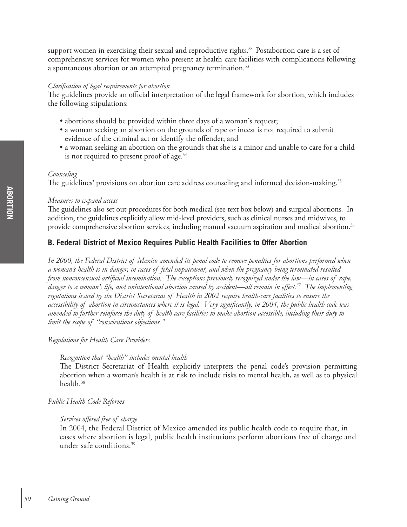support women in exercising their sexual and reproductive rights." Postabortion care is a set of comprehensive services for women who present at health-care facilities with complications following a spontaneous abortion or an attempted pregnancy termination.<sup>33</sup>

#### *Clarification of legal requirements for abortion*

The guidelines provide an official interpretation of the legal framework for abortion, which includes the following stipulations:

- abortions should be provided within three days of a woman's request;
- a woman seeking an abortion on the grounds of rape or incest is not required to submit evidence of the criminal act or identify the offender; and
- a woman seeking an abortion on the grounds that she is a minor and unable to care for a child is not required to present proof of age. 34

## *Counseling*

The guidelines' provisions on abortion care address counseling and informed decision-making.<sup>35</sup>

#### *Measures to expand access*

The guidelines also set out procedures for both medical (see text box below) and surgical abortions. In addition, the guidelines explicitly allow mid-level providers, such as clinical nurses and midwives, to provide comprehensive abortion services, including manual vacuum aspiration and medical abortion. 36

## **B. Federal District of Mexico Requires Public Health Facilities to Offer Abortion**

*In 2000, the Federal District of Mexico amended its penal code to remove penalties for abortions performed when a woman's health is in danger, in cases of fetal impairment, and when the pregnancy being terminated resulted from nonconsensual artificial insemination. The exceptions previously recognized under the law—in cases of rape, danger to a woman's life, and unintentional abortion caused by accident—all remain in effect.37 The implementing regulations issued by the District Secretariat of Health in 2002 require health-care facilities to ensure the accessibility of abortion in circumstances where it is legal. Very significantly, in 2004, the public health code was amended to further reinforce the duty of health-care facilities to make abortion accessible, including their duty to limit the scope of "conscientious objections."*

## *Regulations for Health Care Providers*

## *Recognition that "health" includes mental health*

The District Secretariat of Health explicitly interprets the penal code's provision permitting abortion when a woman's health is at risk to include risks to mental health, as well as to physical health.38

## *Public Health Code Reforms*

## *Services offered free of charge*

In 2004, the Federal District of Mexico amended its public health code to require that, in cases where abortion is legal, public health institutions perform abortions free of charge and under safe conditions. 39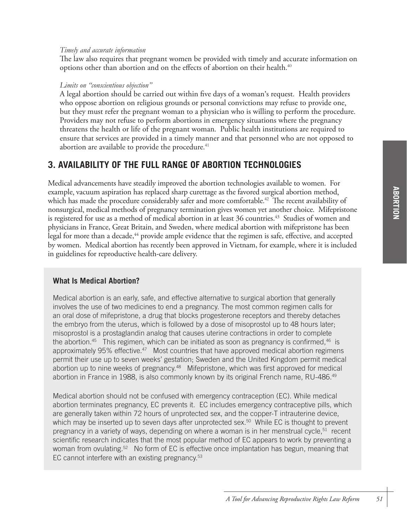## *Timely and accurate information*

The law also requires that pregnant women be provided with timely and accurate information on options other than abortion and on the effects of abortion on their health. 40

## *Limits on "conscientious objection"*

A legal abortion should be carried out within five days of a woman's request. Health providers who oppose abortion on religious grounds or personal convictions may refuse to provide one, but they must refer the pregnant woman to a physician who is willing to perform the procedure. Providers may not refuse to perform abortions in emergency situations where the pregnancy threatens the health or life of the pregnant woman. Public health institutions are required to ensure that services are provided in a timely manner and that personnel who are not opposed to abortion are available to provide the procedure.<sup>41</sup>

# **3. AVAILABILITY OF THE FULL RANGE OF ABORTION TECHNOLOGIES**

Medical advancements have steadily improved the abortion technologies available to women. For example, vacuum aspiration has replaced sharp curettage as the favored surgical abortion method, which has made the procedure considerably safer and more comfortable. 42 The recent availability of nonsurgical, medical methods of pregnancy termination gives women yet another choice. Mifepristone is registered for use as a method of medical abortion in at least 36 countries.<sup>43</sup> Studies of women and physicians in France, Great Britain, and Sweden, where medical abortion with mifepristone has been legal for more than a decade,<sup>44</sup> provide ample evidence that the regimen is safe, effective, and accepted by women. Medical abortion has recently been approved in Vietnam, for example, where it is included in guidelines for reproductive health-care delivery.

## **What Is Medical Abortion?**

Medical abortion is an early, safe, and effective alternative to surgical abortion that generally involves the use of two medicines to end a pregnancy. The most common regimen calls for an oral dose of mifepristone, a drug that blocks progesterone receptors and thereby detaches the embryo from the uterus, which is followed by a dose of misoprostol up to 48 hours later; misoprostol is a prostaglandin analog that causes uterine contractions in order to complete the abortion.<sup>45</sup> This regimen, which can be initiated as soon as pregnancy is confirmed,<sup>46</sup> is approximately 95% effective.<sup>47</sup> Most countries that have approved medical abortion regimens permit their use up to seven weeks' gestation; Sweden and the United Kingdom permit medical abortion up to nine weeks of pregnancy.<sup>48</sup> Mifepristone, which was first approved for medical abortion in France in 1988, is also commonly known by its original French name, RU-486.<sup>49</sup>

Medical abortion should not be confused with emergency contraception (EC). While medical abortion terminates pregnancy, EC prevents it. EC includes emergency contraceptive pills, which are generally taken within 72 hours of unprotected sex, and the copper-T intrauterine device, which may be inserted up to seven days after unprotected sex.<sup>50</sup> While EC is thought to prevent pregnancy in a variety of ways, depending on where a woman is in her menstrual cycle,<sup>51</sup> recent scientific research indicates that the most popular method of EC appears to work by preventing a woman from ovulating.<sup>52</sup> No form of EC is effective once implantation has begun, meaning that EC cannot interfere with an existing pregnancy.<sup>53</sup>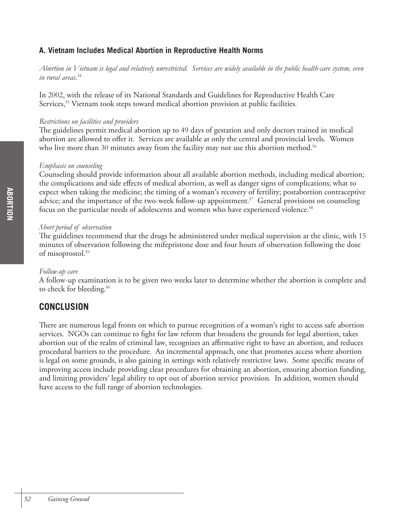## **A. Vietnam Includes Medical Abortion in Reproductive Health Norms**

*Abortion in Vietnam is legal and relatively unrestricted. Services are widely available in the public health-care system, even in rural areas.54* 

In 2002, with the release of its National Standards and Guidelines for Reproductive Health Care Services, <sup>55</sup> Vietnam took steps toward medical abortion provision at public facilities.

## *Restrictions on facilities and providers*

The guidelines permit medical abortion up to 49 days of gestation and only doctors trained in medical abortion are allowed to offer it. Services are available at only the central and provincial levels. Women who live more than 30 minutes away from the facility may not use this abortion method. 56

## *Emphasis on counseling*

Counseling should provide information about all available abortion methods, including medical abortion; the complications and side effects of medical abortion, as well as danger signs of complications; what to expect when taking the medicine; the timing of a woman's recovery of fertility; postabortion contraceptive advice; and the importance of the two-week follow-up appointment. 57 General provisions on counseling focus on the particular needs of adolescents and women who have experienced violence.<sup>58</sup>

## *Short period of observation*

The guidelines recommend that the drugs be administered under medical supervision at the clinic, with 15 minutes of observation following the mifepristone dose and four hours of observation following the dose of misoprostol. 59

## *Follow-up care*

A follow-up examination is to be given two weeks later to determine whether the abortion is complete and to check for bleeding.<sup>60</sup>

# **CONCLUSION**

There are numerous legal fronts on which to pursue recognition of a woman's right to access safe abortion services. NGOs can continue to fight for law reform that broadens the grounds for legal abortion, takes abortion out of the realm of criminal law, recognizes an affirmative right to have an abortion, and reduces procedural barriers to the procedure. An incremental approach, one that promotes access where abortion is legal on some grounds, is also gaining in settings with relatively restrictive laws. Some specific means of improving access include providing clear procedures for obtaining an abortion, ensuring abortion funding, and limiting providers' legal ability to opt out of abortion service provision. In addition, women should have access to the full range of abortion technologies.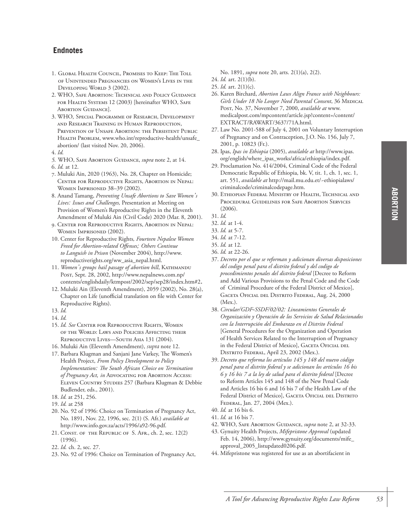- 1. GLOBAL HEALTH COUNCIL, PROMISES TO KEEP: THE TOLL OF UNINTENDED PREGNANCIES ON WOMEN'S LIVES IN THE DEVELOPING WORLD 3 (2002).
- 2. WHO, SAFE ABORTION: TECHNICAL AND POLICY GUIDANCE FOR HEALTH SYSTEMS 12 (2003) [hereinafter WHO, SAFE ABORTION GUIDANCE].
- 3. WHO*,* SPECIAL PROGRAMME OF RESEARCH, DEVELOPMENT AND RESEARCH TRAINING IN HUMAN REPRODUCTION, PREVENTION OF UNSAFE ABORTION: THE PERSISTENT PUBLIC HEALTH PROBLEM, www.who.int/reproductive-health/unsafe\_ abortion/ (last visited Nov. 20, 2006).
- 4. *Id.*
- *5.* WHO, SAFE ABORTION GUIDANCE, *supra* note 2, at 14.
- 6. *Id.* at 12.
- 7. Muluki Ain, 2020 (1963), No. 28, Chapter on Homicide; CENTER FOR REPRODUCTIVE RIGHTS, ABORTION IN NEPAL: WOMEN IMPRISONED 38–39 (2002).
- 8. Anand Tamang, *Preventing Unsafe Abortions to Save Women's Lives: Issues and Challenges,* Presentation at Meeting on Provision of Women's Reproductive Rights in the Eleventh Amendment of Muluki Ain (Civil Code) 2020 (Mar. 8, 2001).
- 9. CENTER FOR REPRODUCTIVE RIGHTS, ABORTION IN NEPAL: WOMEN IMPRISONED (2002).
- 10. Center for Reproductive Rights*, Fourteen Nepalese Women Freed for Abortion-related Offenses; Others Continue to Languish in Prison* (November 2004), http://www. reproductiverights.org/ww\_asia\_nepal.html.
- 11. *Women's groups hail passage of abortion bill*, KATHMANDU POST, Sept. 28, 2002, http://www.nepalnews.com.np/ contents/englishdaily/ktmpost/2002/sep/sep28/index.htm#2.
- 12. Muluki Ain (Eleventh Amendment), 2059 (2002), No. 28(a), Chapter on Life (unofficial translation on file with Center for Reproductive Rights).
- 13. *Id.*
- 14. *Id.*
- 15. *Id. See* CENTER FOR REPRODUCTIVE RIGHTS, WOMEN OF THE WORLD: LAWS AND POLICIES AFFECTING THEIR REPRODUCTIVE LIVES—SOUTH ASIA 131 (2004).
- 16. Muluki Ain (Eleventh Amendment), *supra* note 12.
- 17. Barbara Klugman and Sanjani Jane Varkey, The Women's Health Project, *From Policy Development to Policy Implementation: The South African Choice on Termination of Pregnancy Act, in* ADVOCATING FOR ABORTION ACCESS: ELEVEN COUNTRY STUDIES 257 (Barbara Klugman & Debbie Budlender, eds., 2001).
- 18. *Id.* at 251, 256.
- 19. *Id.* at 258
- 20. No. 92 of 1996: Choice on Termination of Pregnancy Act, No. 1891, Nov. 22, 1996, sec. 2(1) (S. Afr.) *available at* http://www.info.gov.za/acts/1996/a92-96.pdf.
- 21. CONST. OF THE REPUBLIC OF S. AFR., ch. 2, sec. 12(2) (1996).
- 22. *Id.* ch. 2, sec. 27.
- 23. No. 92 of 1996: Choice on Termination of Pregnancy Act,

No. 1891, *supra* note 20, arts. 2(1)(a), 2(2).

- 24. *Id.* art. 2(1)(b).
- 25. *Id.* art. 2(1)(c).
- 26. Karen Birchard, *Abortion Laws Align France with Neighbours: Girls Under 18 No Longer Need Parental Consent*, 36 MEDICAL POST, No. 37, November 7, 2000, *available at* www. medicalpost.com/mpcontent/article.jsp?content=/content/ EXTRACT/RAWART/3637/71A.html.
- 27. Law No. 2001-588 of July 4, 2001 on Voluntary Interruption of Pregnancy and on Contraception, J.O. No. 156, July 7, 2001, p. 10823 (Fr.).
- 28. Ipas, *Ipas in Ethiopia* (2005), *available at* http://www.ipas. org/english/where\_ipas\_works/africa/ethiopia/index.pdf.
- 29. Proclamation No. 414/2004, Criminal Code of the Federal Democratic Republic of Ethiopia, bk. V, tit. 1, ch. 1, sec. 1, art. 551, *available at* http://mail.mu.edu.et/~ethiopialaws/ criminalcode/criminalcodepage.htm.
- 30. ETHIOPIAN FEDERAL MINISTRY OF HEALTH, TECHNICAL AND PROCEDURAL GUIDELINES FOR SAFE ABORTION SERVICES (2006).
- 31. *Id.*

- 33. *Id.* at 5-7.
- 34. *Id.* at 7-12.

- 36. *Id.* at 22-26.
- 37. *Decreto por el que se reforman y adicionan diversas disposiciones del codigo penal para el distrito federal y del codigo de procedimientos penales del distrito federal* [Decree to Reform and Add Various Provisions to the Penal Code and the Code of Criminal Procedure of the Federal District of Mexico], GACETA OFICIAL DEL DISTRITO FEDERAL, Aug. 24, 2000 (Mex.).
- 38. *Circular/GDF-SSDF/02/02: Lineamientos Generales de Organización y Operación de los Servicios de Salud Relacionados con la Interrupción del Embarazo en el Distrito Federal* [General Procedures for the Organization and Operation of Health Services Related to the Interruption of Pregnancy in the Federal District of Mexico], GACETA OFICIAL DEL DISTRITO FEDERAL, April 23, 2002 (Mex.).
- 39. *Decreto que reforma los artículos 145 y 148 del nuevo código penal para el distrito federal y se adicionan los artículos 16 bis 6 y 16 bis 7 a la ley de salud para el distrito federal* [Decree to Reform Articles 145 and 148 of the New Penal Code and Articles 16 bis 6 and 16 bis 7 of the Health Law of the Federal District of Mexico], GACETA OFICIAL DEL DISTRITO FEDERAL, Jan. 27, 2004 (Mex.).
- 40. *Id.* at 16 bis 6.
- 41. *Id.* at 16 bis 7.
- 42. WHO, SAFE ABORTION GUIDANCE, *supra* note 2, at 32-33.
- 43. Gynuity Health Projects, *Mifepristone Approval* (updated Feb. 14, 2006), http://www.gynuity.org/documents/mife\_ approval\_2005\_listupdated0206.pdf.
- 44. Mifepristone was registered for use as an abortifacient in

<sup>32.</sup> *Id.* at 1-4.

<sup>35.</sup> *Id.* at 12.